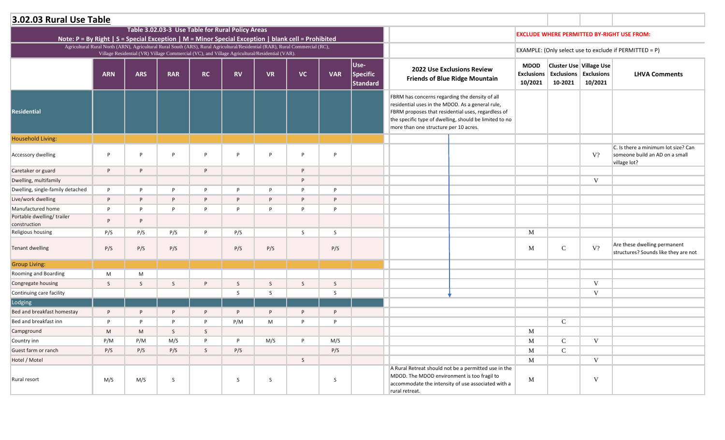|                                                                                                    | 3.02.03 Rural Use Table |            |                                                                                                                                                                                                                               |           |           |           |           |            |                                     |                                                                                                                                                                                                                                                             |                                             |                                         |                                           |                                                                                       |
|----------------------------------------------------------------------------------------------------|-------------------------|------------|-------------------------------------------------------------------------------------------------------------------------------------------------------------------------------------------------------------------------------|-----------|-----------|-----------|-----------|------------|-------------------------------------|-------------------------------------------------------------------------------------------------------------------------------------------------------------------------------------------------------------------------------------------------------------|---------------------------------------------|-----------------------------------------|-------------------------------------------|---------------------------------------------------------------------------------------|
| Note: P = By Right   S = Special Exception   M = Minor Special Exception   blank cell = Prohibited |                         |            | Table 3.02.03-3 Use Table for Rural Policy Areas                                                                                                                                                                              |           |           |           |           |            |                                     |                                                                                                                                                                                                                                                             |                                             |                                         |                                           | <b>EXCLUDE WHERE PERMITTED BY-RIGHT USE FROM:</b>                                     |
|                                                                                                    |                         |            | Agricultural Rural North (ARN), Agricultural Rural South (ARS), Rural Agricultural/Residential (RAR), Rural Commercial (RC),<br>Village Residential (VR) Village Commercial (VC), and Village Agricultural/Residential (VAR). |           |           |           |           |            |                                     |                                                                                                                                                                                                                                                             |                                             |                                         |                                           | EXAMPLE: (Only select use to exclude if PERMITTED = P)                                |
|                                                                                                    | <b>ARN</b>              | <b>ARS</b> | <b>RAR</b>                                                                                                                                                                                                                    | <b>RC</b> | <b>RV</b> | <b>VR</b> | <b>VC</b> | <b>VAR</b> | Use-<br>Specific<br><b>Standard</b> | <b>2022 Use Exclusions Review</b><br><b>Friends of Blue Ridge Mountain</b>                                                                                                                                                                                  | <b>MDOD</b><br><b>Exclusions</b><br>10/2021 | <b>Exclusions Exclusions</b><br>10-2021 | <b>Cluster Use Village Use</b><br>10/2021 | <b>LHVA Comments</b>                                                                  |
| <b>Residential</b>                                                                                 |                         |            |                                                                                                                                                                                                                               |           |           |           |           |            |                                     | FBRM has concerns regarding the density of all<br>residential uses in the MDOD. As a general rule,<br>FBRM proposes that residential uses, regardless of<br>the specific type of dwelling, should be limited to no<br>more than one structure per 10 acres. |                                             |                                         |                                           |                                                                                       |
| <b>Household Living:</b>                                                                           |                         |            |                                                                                                                                                                                                                               |           |           |           |           |            |                                     |                                                                                                                                                                                                                                                             |                                             |                                         |                                           |                                                                                       |
| Accessory dwelling                                                                                 | P                       | P          | P                                                                                                                                                                                                                             | D         | P         | D         | P         | D          |                                     |                                                                                                                                                                                                                                                             |                                             |                                         | V?                                        | C. Is there a minimum lot size? Can<br>someone build an AD on a small<br>village lot? |
| Caretaker or guard                                                                                 | P                       | P          |                                                                                                                                                                                                                               | P         |           |           | P         |            |                                     |                                                                                                                                                                                                                                                             |                                             |                                         |                                           |                                                                                       |
| Dwelling, multifamily                                                                              |                         |            |                                                                                                                                                                                                                               |           |           |           | D         |            |                                     |                                                                                                                                                                                                                                                             |                                             |                                         | V                                         |                                                                                       |
| Dwelling, single-family detached                                                                   | P                       | P          | P                                                                                                                                                                                                                             | D         | P         | D         | D         | D          |                                     |                                                                                                                                                                                                                                                             |                                             |                                         |                                           |                                                                                       |
| Live/work dwelling                                                                                 | P                       | P          | P                                                                                                                                                                                                                             | P         | P         | P         | P         | D          |                                     |                                                                                                                                                                                                                                                             |                                             |                                         |                                           |                                                                                       |
| Manufactured home                                                                                  | P                       | P          | P                                                                                                                                                                                                                             | D         | Þ         | D         | D         | D          |                                     |                                                                                                                                                                                                                                                             |                                             |                                         |                                           |                                                                                       |
| Portable dwelling/ trailer<br>construction                                                         | P                       | P          |                                                                                                                                                                                                                               |           |           |           |           |            |                                     |                                                                                                                                                                                                                                                             |                                             |                                         |                                           |                                                                                       |
| Religious housing                                                                                  | P/S                     | P/S        | P/S                                                                                                                                                                                                                           | D         | P/S       |           | S         | S          |                                     |                                                                                                                                                                                                                                                             | $\mathbf M$                                 |                                         |                                           |                                                                                       |
| <b>Tenant dwelling</b>                                                                             | P/S                     | P/S        | P/S                                                                                                                                                                                                                           |           | P/S       | P/S       |           | P/S        |                                     |                                                                                                                                                                                                                                                             | $\mathbf M$                                 | $\mathsf{C}$                            | V?                                        | Are these dwelling permanent<br>structures? Sounds like they are not                  |
| <b>Group Living:</b>                                                                               |                         |            |                                                                                                                                                                                                                               |           |           |           |           |            |                                     |                                                                                                                                                                                                                                                             |                                             |                                         |                                           |                                                                                       |
| Rooming and Boarding                                                                               | M                       | M          |                                                                                                                                                                                                                               |           |           |           |           |            |                                     |                                                                                                                                                                                                                                                             |                                             |                                         |                                           |                                                                                       |
| Congregate housing                                                                                 | S                       | S          | S                                                                                                                                                                                                                             | P         | S         | S         | S         | S          |                                     |                                                                                                                                                                                                                                                             |                                             |                                         | V                                         |                                                                                       |
| Continuing care facility                                                                           |                         |            |                                                                                                                                                                                                                               |           | S         | S         |           | S.         |                                     |                                                                                                                                                                                                                                                             |                                             |                                         | V                                         |                                                                                       |
| Lodging                                                                                            |                         |            |                                                                                                                                                                                                                               |           |           |           |           |            |                                     |                                                                                                                                                                                                                                                             |                                             |                                         |                                           |                                                                                       |
| Bed and breakfast homestay                                                                         | P                       | P          | P                                                                                                                                                                                                                             | P         | P         | P         | P         | P          |                                     |                                                                                                                                                                                                                                                             |                                             |                                         |                                           |                                                                                       |
| Bed and breakfast inn                                                                              | P                       | P          | P                                                                                                                                                                                                                             | P         | P/M       | M         | P         | P          |                                     |                                                                                                                                                                                                                                                             |                                             | $\mathbf C$                             |                                           |                                                                                       |
| Campground                                                                                         | M                       | M          | S                                                                                                                                                                                                                             | S         |           |           |           |            |                                     |                                                                                                                                                                                                                                                             | $\mathbf M$                                 |                                         |                                           |                                                                                       |
| Country inn                                                                                        | P/M                     | P/M        | M/S                                                                                                                                                                                                                           | Þ         | P         | M/S       | P         | M/S        |                                     |                                                                                                                                                                                                                                                             | $\mathbf M$                                 | $\mathbf C$                             | V                                         |                                                                                       |
| Guest farm or ranch                                                                                | P/S                     | P/S        | P/S                                                                                                                                                                                                                           | S         | P/S       |           |           | P/S        |                                     |                                                                                                                                                                                                                                                             | $\mathbf M$                                 | $\mathbf C$                             |                                           |                                                                                       |
| Hotel / Motel                                                                                      |                         |            |                                                                                                                                                                                                                               |           |           |           | S         |            |                                     |                                                                                                                                                                                                                                                             | $\mathbf M$                                 |                                         | $\mathbf V$                               |                                                                                       |
| Rural resort                                                                                       | M/S                     | M/S        | S                                                                                                                                                                                                                             |           | S         | S         |           | S          |                                     | A Rural Retreat should not be a permitted use in the<br>MDOD. The MDOD environment is too fragil to<br>accommodate the intensity of use associated with a<br>rural retreat.                                                                                 | $\mathbf M$                                 |                                         | V                                         |                                                                                       |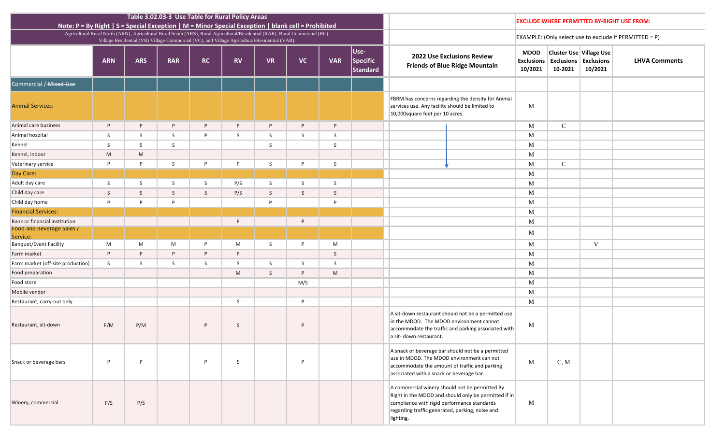| ons<br>21 | Use Village Use<br><b>Exclusions</b><br>10/2021 | <b>LHVA Comments</b> |
|-----------|-------------------------------------------------|----------------------|
|           |                                                 |                      |
|           |                                                 |                      |
|           |                                                 |                      |
|           |                                                 |                      |
|           |                                                 |                      |
|           |                                                 |                      |
|           |                                                 |                      |
|           |                                                 |                      |
|           |                                                 |                      |
|           |                                                 |                      |
|           |                                                 |                      |
|           |                                                 |                      |
|           |                                                 |                      |
|           | $\mathbf V$                                     |                      |
|           |                                                 |                      |
|           |                                                 |                      |
|           |                                                 |                      |
|           |                                                 |                      |
|           |                                                 |                      |
|           |                                                 |                      |
|           |                                                 |                      |
|           |                                                 |                      |
|           |                                                 |                      |
|           |                                                 |                      |
|           |                                                 |                      |
|           |                                                 |                      |
|           |                                                 |                      |
|           |                                                 |                      |
|           |                                                 |                      |

# **EXCLUDE WHERE PERMITTED BY-RIGHT USE FROM:**

| Note: $P = By Right   S = Special Exception   M = Minor Special Exception   blank cell = Probability$ |            |            | Table 3.02.03-3 Use Table for Rural Policy Areas |              |           |                                                                                                                                                                                                                               |              |            |                              |                                                                                                                                                                                                                            |  | <b>EXCLUDE WHERE PERMITTED B</b>            |                                                                   |      |
|-------------------------------------------------------------------------------------------------------|------------|------------|--------------------------------------------------|--------------|-----------|-------------------------------------------------------------------------------------------------------------------------------------------------------------------------------------------------------------------------------|--------------|------------|------------------------------|----------------------------------------------------------------------------------------------------------------------------------------------------------------------------------------------------------------------------|--|---------------------------------------------|-------------------------------------------------------------------|------|
|                                                                                                       |            |            |                                                  |              |           | Agricultural Rural North (ARN), Agricultural Rural South (ARS), Rural Agricultural/Residential (RAR), Rural Commercial (RC),<br>Village Residential (VR) Village Commercial (VC), and Village Agricultural/Residential (VAR). |              |            |                              |                                                                                                                                                                                                                            |  | EXAMPLE: (Only select use to ex             |                                                                   |      |
|                                                                                                       | <b>ARN</b> | <b>ARS</b> | <b>RAR</b>                                       | <b>RC</b>    | <b>RV</b> | <b>VR</b>                                                                                                                                                                                                                     | <b>VC</b>    | <b>VAR</b> | Use-<br>Specific<br>Standard | <b>2022 Use Exclusions Review</b><br><b>Friends of Blue Ridge Mountain</b>                                                                                                                                                 |  | <b>MDOD</b><br><b>Exclusions</b><br>10/2021 | <b>Cluster Use Village</b><br><b>Exclusions Exclus</b><br>10-2021 | 10/2 |
| Commercial / Mixed-Use                                                                                |            |            |                                                  |              |           |                                                                                                                                                                                                                               |              |            |                              |                                                                                                                                                                                                                            |  |                                             |                                                                   |      |
| <b>Animal Services:</b>                                                                               |            |            |                                                  |              |           |                                                                                                                                                                                                                               |              |            |                              | FBRM has concerns regarding the density for Animal<br>services use. Any facility should be limited to<br>10,000 square feet per 10 acres.                                                                                  |  | $\mathbf{M}$                                |                                                                   |      |
| Animal care business                                                                                  | P          | P          | P                                                | P            | P         | P                                                                                                                                                                                                                             | P            | P          |                              |                                                                                                                                                                                                                            |  | M                                           | $\mathbf C$                                                       |      |
| Animal hospital                                                                                       | S          | S          | S                                                | P            | S.        | S.                                                                                                                                                                                                                            | S            | S          |                              |                                                                                                                                                                                                                            |  | M                                           |                                                                   |      |
| Kennel                                                                                                | S          | S          | S                                                |              |           | S                                                                                                                                                                                                                             |              | S          |                              |                                                                                                                                                                                                                            |  | M                                           |                                                                   |      |
| Kennel, indoor                                                                                        | M          | M          |                                                  |              |           |                                                                                                                                                                                                                               |              |            |                              |                                                                                                                                                                                                                            |  | M                                           |                                                                   |      |
| Veterinary service                                                                                    | P          | P          | S                                                | P            | P         | S                                                                                                                                                                                                                             | P            | S          |                              |                                                                                                                                                                                                                            |  | M                                           | $\mathsf{C}$                                                      |      |
| Day Care:                                                                                             |            |            |                                                  |              |           |                                                                                                                                                                                                                               |              |            |                              |                                                                                                                                                                                                                            |  | $\mathbf{M}$                                |                                                                   |      |
| Adult day care                                                                                        | S          | S          | S                                                | S            | P/S       | S                                                                                                                                                                                                                             | S            | S          |                              |                                                                                                                                                                                                                            |  | M                                           |                                                                   |      |
| Child day care                                                                                        | S          | S          | S                                                | $\mathsf{S}$ | P/S       | S                                                                                                                                                                                                                             | $\mathsf{S}$ | S          |                              |                                                                                                                                                                                                                            |  | $\mathbf{M}$                                |                                                                   |      |
| Child day home                                                                                        | P          | P          | P                                                |              |           | P                                                                                                                                                                                                                             |              | P          |                              |                                                                                                                                                                                                                            |  | M                                           |                                                                   |      |
| <b>Financial Services:</b>                                                                            |            |            |                                                  |              |           |                                                                                                                                                                                                                               |              |            |                              |                                                                                                                                                                                                                            |  | $\mathbf{M}$                                |                                                                   |      |
| Bank or financial institution                                                                         |            |            |                                                  |              | P         |                                                                                                                                                                                                                               | P            |            |                              |                                                                                                                                                                                                                            |  | M                                           |                                                                   |      |
| Food and Beverage Sales /<br>Service:                                                                 |            |            |                                                  |              |           |                                                                                                                                                                                                                               |              |            |                              |                                                                                                                                                                                                                            |  | $\mathbf{M}$                                |                                                                   |      |
| <b>Banquet/Event Facility</b>                                                                         | M          | M          | M                                                | P            | M         | S                                                                                                                                                                                                                             | P            | M          |                              |                                                                                                                                                                                                                            |  | M                                           |                                                                   | V    |
| Farm market                                                                                           | P          | P          | P                                                | P            | P         |                                                                                                                                                                                                                               |              | S          |                              |                                                                                                                                                                                                                            |  | M                                           |                                                                   |      |
| Farm market (off-site production)                                                                     | S          | S          | S                                                | S            | S         | S                                                                                                                                                                                                                             | S.           | S          |                              |                                                                                                                                                                                                                            |  | M                                           |                                                                   |      |
| Food preparation                                                                                      |            |            |                                                  |              | M         | S                                                                                                                                                                                                                             | P            | M          |                              |                                                                                                                                                                                                                            |  | $\mathbf{M}$                                |                                                                   |      |
| Food store                                                                                            |            |            |                                                  |              |           |                                                                                                                                                                                                                               | M/S          |            |                              |                                                                                                                                                                                                                            |  | M                                           |                                                                   |      |
| Mobile vendor                                                                                         |            |            |                                                  |              |           |                                                                                                                                                                                                                               |              |            |                              |                                                                                                                                                                                                                            |  | M                                           |                                                                   |      |
| Restaurant, carry-out only                                                                            |            |            |                                                  |              | S         |                                                                                                                                                                                                                               | P            |            |                              |                                                                                                                                                                                                                            |  | $\mathbf{M}$                                |                                                                   |      |
| Restaurant, sit-down                                                                                  | P/M        | P/M        |                                                  | P            | S         |                                                                                                                                                                                                                               | P            |            |                              | A sit-down restaurant should not be a permitted use<br>in the MDOD. The MDOD environment cannot<br>accommodate the traffic and parking associated with<br>a sit- down restaurant.                                          |  | $\mathbf{M}$                                |                                                                   |      |
| Snack or beverage bars                                                                                | P          | P          |                                                  | P            | S         |                                                                                                                                                                                                                               | P            |            |                              | A snack or beverage bar should not be a permitted<br>use in MDOD. The MDOD environment can not<br>accommodate the amount of traffic and parking<br>associated with a snack or beverage bar.                                |  | $\mathbf{M}$                                | C, M                                                              |      |
| Winery, commercial                                                                                    | P/S        | P/S        |                                                  |              |           |                                                                                                                                                                                                                               |              |            |                              | A commercial winery should not be permitted By<br>Right in the MDOD and should only be permitted if in<br>compliance with rigid performance standards<br>M<br>regarding traffic generated, parking, noise and<br>lighting. |  |                                             |                                                                   |      |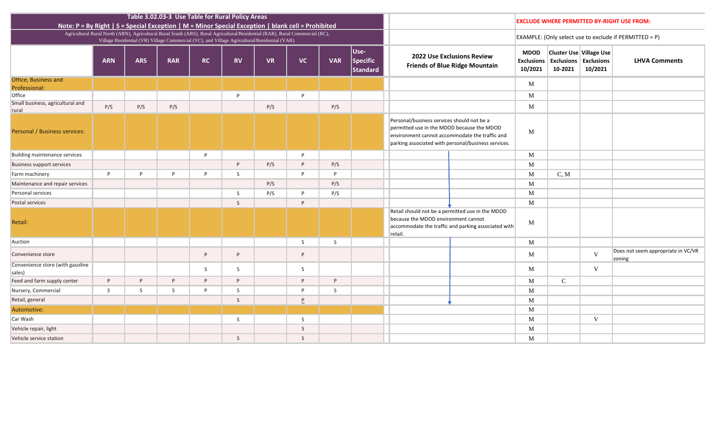| ons<br>21 | Use Village Use<br><b>Exclusions</b><br>10/2021 | <b>LHVA Comments</b>                         |
|-----------|-------------------------------------------------|----------------------------------------------|
|           |                                                 |                                              |
|           |                                                 |                                              |
|           |                                                 |                                              |
|           |                                                 |                                              |
|           |                                                 |                                              |
|           |                                                 |                                              |
| I         |                                                 |                                              |
|           |                                                 |                                              |
|           |                                                 |                                              |
|           |                                                 |                                              |
|           |                                                 |                                              |
|           |                                                 |                                              |
|           | $\mathbf{V}$                                    | Does not seem appropriate in VC/VR<br>zoning |
|           | $\bar{V}$                                       |                                              |
|           |                                                 |                                              |
|           |                                                 |                                              |
|           |                                                 |                                              |
|           | V                                               |                                              |
|           |                                                 |                                              |
|           |                                                 |                                              |

| Note: P = By Right   S = Special Exception   M = Minor Special Exception   blank cell = Prohibited |            |            | Table 3.02.03-3 Use Table for Rural Policy Areas                                                                                                                                                                              |           |              |           |                          |            |                              |                                                                                                                                                                                                   |                                                                            |                                             | <b>EXCLUDE WHERE PERMITTED B</b>                                  |              |
|----------------------------------------------------------------------------------------------------|------------|------------|-------------------------------------------------------------------------------------------------------------------------------------------------------------------------------------------------------------------------------|-----------|--------------|-----------|--------------------------|------------|------------------------------|---------------------------------------------------------------------------------------------------------------------------------------------------------------------------------------------------|----------------------------------------------------------------------------|---------------------------------------------|-------------------------------------------------------------------|--------------|
|                                                                                                    |            |            | Agricultural Rural North (ARN), Agricultural Rural South (ARS), Rural Agricultural/Residential (RAR), Rural Commercial (RC),<br>Village Residential (VR) Village Commercial (VC), and Village Agricultural/Residential (VAR). |           |              |           |                          |            |                              |                                                                                                                                                                                                   |                                                                            |                                             | EXAMPLE: (Only select use to ex                                   |              |
|                                                                                                    | <b>ARN</b> | <b>ARS</b> | <b>RAR</b>                                                                                                                                                                                                                    | <b>RC</b> | <b>RV</b>    | <b>VR</b> | <b>VC</b>                | <b>VAR</b> | Use-<br>Specific<br>Standard |                                                                                                                                                                                                   | <b>2022 Use Exclusions Review</b><br><b>Friends of Blue Ridge Mountain</b> | <b>MDOD</b><br><b>Exclusions</b><br>10/2021 | <b>Cluster Use Village</b><br><b>Exclusions Exclus</b><br>10-2021 | 10/2         |
| <b>Ottice, Business and</b>                                                                        |            |            |                                                                                                                                                                                                                               |           |              |           |                          |            |                              |                                                                                                                                                                                                   |                                                                            | $\mathbf{M}$                                |                                                                   |              |
| Professional:<br>Office                                                                            |            |            |                                                                                                                                                                                                                               |           | P            |           | P                        |            |                              |                                                                                                                                                                                                   |                                                                            | M                                           |                                                                   |              |
| Small business, agricultural and                                                                   |            |            |                                                                                                                                                                                                                               |           |              |           |                          |            |                              |                                                                                                                                                                                                   |                                                                            |                                             |                                                                   |              |
| rural                                                                                              | P/S        | P/S        | P/S                                                                                                                                                                                                                           |           |              | P/S       |                          | P/S        |                              |                                                                                                                                                                                                   |                                                                            | M                                           |                                                                   |              |
| Personal / Business services:                                                                      |            |            |                                                                                                                                                                                                                               |           |              |           |                          |            |                              | Personal/business services should not be a<br>permitted use in the MDOD because the MDOD<br>environment cannot accommodate the traffic and<br>parking associated with personal/business services. |                                                                            | M                                           |                                                                   |              |
| Building maintenance services                                                                      |            |            |                                                                                                                                                                                                                               | P         |              |           | P                        |            |                              |                                                                                                                                                                                                   |                                                                            | $\mathbf{M}$                                |                                                                   |              |
| <b>Business support services</b>                                                                   |            |            |                                                                                                                                                                                                                               |           | P            | P/S       | P                        | P/S        |                              |                                                                                                                                                                                                   |                                                                            | M                                           |                                                                   |              |
| Farm machinery                                                                                     | P          | P          | D                                                                                                                                                                                                                             | P         | S            |           | P                        | P          |                              |                                                                                                                                                                                                   |                                                                            | M                                           | C, M                                                              |              |
| Maintenance and repair services                                                                    |            |            |                                                                                                                                                                                                                               |           |              | P/S       |                          | P/S        |                              |                                                                                                                                                                                                   |                                                                            | M                                           |                                                                   |              |
| Personal services                                                                                  |            |            |                                                                                                                                                                                                                               |           | S            | P/S       | P                        | P/S        |                              |                                                                                                                                                                                                   |                                                                            | M                                           |                                                                   |              |
| Postal services                                                                                    |            |            |                                                                                                                                                                                                                               |           | $\mathsf{S}$ |           | P                        |            |                              |                                                                                                                                                                                                   |                                                                            | $\mathbf{M}$                                |                                                                   |              |
| Retail:                                                                                            |            |            |                                                                                                                                                                                                                               |           |              |           |                          |            |                              | Retail should not be a permitted use in the MDOD<br>because the MDOD environment cannot<br>retail                                                                                                 | accommodate the traffic and parking associated with                        | M                                           |                                                                   |              |
| Auction                                                                                            |            |            |                                                                                                                                                                                                                               |           |              |           | S                        | S          |                              |                                                                                                                                                                                                   |                                                                            | M                                           |                                                                   |              |
| Convenience store                                                                                  |            |            |                                                                                                                                                                                                                               | P         | P            |           | P                        |            |                              |                                                                                                                                                                                                   |                                                                            | $\mathbf{M}$                                |                                                                   | V            |
| Convenience store (with gasoline<br>sales)                                                         |            |            |                                                                                                                                                                                                                               | S.        | S            |           | S                        |            |                              |                                                                                                                                                                                                   |                                                                            | $\mathbf{M}$                                |                                                                   | <sup>V</sup> |
| Feed and farm supply center                                                                        | P          | P          | P                                                                                                                                                                                                                             | P         | P.           |           | P                        | P          |                              |                                                                                                                                                                                                   |                                                                            | M                                           | $\mathcal{C}$                                                     |              |
| Nursery, Commercial                                                                                | S          | S          | S                                                                                                                                                                                                                             | P         | S            |           | P                        | S          |                              |                                                                                                                                                                                                   |                                                                            | M                                           |                                                                   |              |
| Retail, general                                                                                    |            |            |                                                                                                                                                                                                                               |           | S            |           | $\underline{\mathsf{P}}$ |            |                              |                                                                                                                                                                                                   |                                                                            | M                                           |                                                                   |              |
| Automotive:                                                                                        |            |            |                                                                                                                                                                                                                               |           |              |           |                          |            |                              |                                                                                                                                                                                                   |                                                                            | $\mathbf{M}$                                |                                                                   |              |
| Car Wash                                                                                           |            |            |                                                                                                                                                                                                                               |           | S            |           | S                        |            |                              |                                                                                                                                                                                                   |                                                                            | $\mathbf{M}$                                |                                                                   | V            |
| Vehicle repair, light                                                                              |            |            |                                                                                                                                                                                                                               |           |              |           | $\mathsf S$              |            |                              |                                                                                                                                                                                                   |                                                                            | $\mathbf{M}$                                |                                                                   |              |
| Vehicle service station                                                                            |            |            |                                                                                                                                                                                                                               |           | S            |           | S                        |            |                              |                                                                                                                                                                                                   |                                                                            | $\mathbf{M}$                                |                                                                   |              |
|                                                                                                    |            |            |                                                                                                                                                                                                                               |           |              |           |                          |            |                              |                                                                                                                                                                                                   |                                                                            |                                             |                                                                   |              |

# **ERMITTED BY-RIGHT USE FROM:**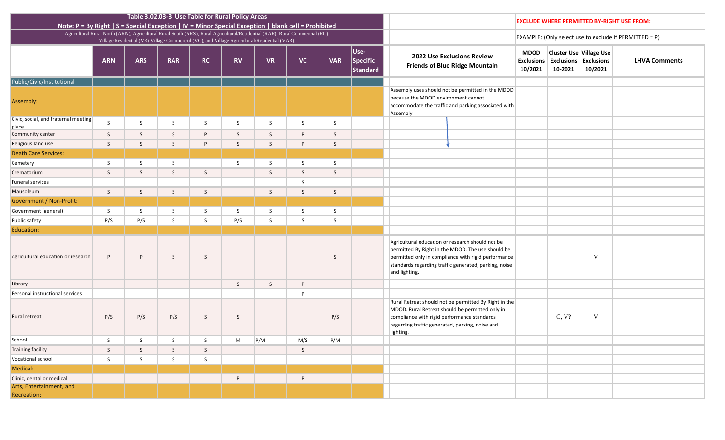| 0-2021 | ster Use Village Use<br>clusions Exclusions<br>10/2021 | <b>LHVA Comments</b> |
|--------|--------------------------------------------------------|----------------------|
|        |                                                        |                      |
|        |                                                        |                      |
|        |                                                        |                      |
|        |                                                        |                      |
|        |                                                        |                      |
|        |                                                        |                      |
|        |                                                        |                      |
|        |                                                        |                      |
|        |                                                        |                      |
|        |                                                        |                      |
|        |                                                        |                      |
|        |                                                        |                      |
|        |                                                        |                      |
|        |                                                        |                      |
|        | $\mathbf V$                                            |                      |
|        |                                                        |                      |
|        |                                                        |                      |
|        |                                                        |                      |
| C, V?  | V                                                      |                      |
|        |                                                        |                      |
|        |                                                        |                      |
|        |                                                        |                      |
|        |                                                        |                      |
|        |                                                        |                      |
|        |                                                        |                      |
|        |                                                        |                      |
|        |                                                        |                      |

# **EXCLUDE WHERE PERMITTED BY-RIGHT USE FROM:**

| Note: $P = By Right   S = Special Exception   M = Minor Special Exception   blank cell = Probability$ |              |              | Table 3.02.03-3 Use Table for Rural Policy Areas |              |           |                                                                                                                                                                                                                               |              |              | <b>EXCLUDE WHERE PERMI</b>          |                                                                                                                                                                                                                                        |                                                                            |                                             |                                                    |
|-------------------------------------------------------------------------------------------------------|--------------|--------------|--------------------------------------------------|--------------|-----------|-------------------------------------------------------------------------------------------------------------------------------------------------------------------------------------------------------------------------------|--------------|--------------|-------------------------------------|----------------------------------------------------------------------------------------------------------------------------------------------------------------------------------------------------------------------------------------|----------------------------------------------------------------------------|---------------------------------------------|----------------------------------------------------|
|                                                                                                       |              |              |                                                  |              |           | Agricultural Rural North (ARN), Agricultural Rural South (ARS), Rural Agricultural/Residential (RAR), Rural Commercial (RC),<br>Village Residential (VR) Village Commercial (VC), and Village Agricultural/Residential (VAR). |              |              |                                     |                                                                                                                                                                                                                                        |                                                                            |                                             | <b>EXAMPLE:</b> (Only select us                    |
|                                                                                                       | <b>ARN</b>   | <b>ARS</b>   | <b>RAR</b>                                       | <b>RC</b>    | <b>RV</b> | <b>VR</b>                                                                                                                                                                                                                     | <b>VC</b>    | <b>VAR</b>   | Use-<br><b>Specific</b><br>Standard |                                                                                                                                                                                                                                        | <b>2022 Use Exclusions Review</b><br><b>Friends of Blue Ridge Mountain</b> | <b>MDOD</b><br><b>Exclusions</b><br>10/2021 | <b>Cluster Use</b><br><b>Exclusions</b><br>10-2021 |
| Public/Civic/Institutional                                                                            |              |              |                                                  |              |           |                                                                                                                                                                                                                               |              |              |                                     |                                                                                                                                                                                                                                        |                                                                            |                                             |                                                    |
| Assembly:                                                                                             |              |              |                                                  |              |           |                                                                                                                                                                                                                               |              |              |                                     | Assembly uses should not be permitted in the MDOD<br>because the MDOD environment cannot<br>accommodate the traffic and parking associated with<br>Assembly                                                                            |                                                                            |                                             |                                                    |
| Civic, social, and fraternal meeting<br>place                                                         | S            | S            | S                                                | S            | S         | S                                                                                                                                                                                                                             | S            | S            |                                     |                                                                                                                                                                                                                                        |                                                                            |                                             |                                                    |
| Community center                                                                                      | S            | S            | S                                                | P            | S         | S                                                                                                                                                                                                                             | P            | S            |                                     |                                                                                                                                                                                                                                        |                                                                            |                                             |                                                    |
| Religious land use                                                                                    | S            | S            | S                                                | P            | S         | S                                                                                                                                                                                                                             | P            | S            |                                     |                                                                                                                                                                                                                                        |                                                                            |                                             |                                                    |
| <b>Death Care Services:</b>                                                                           |              |              |                                                  |              |           |                                                                                                                                                                                                                               |              |              |                                     |                                                                                                                                                                                                                                        |                                                                            |                                             |                                                    |
| Cemetery                                                                                              | S            | S            | S                                                |              | S         | S                                                                                                                                                                                                                             | S            | S            |                                     |                                                                                                                                                                                                                                        |                                                                            |                                             |                                                    |
| Crematorium                                                                                           | $\mathsf{S}$ | $\mathsf{S}$ | S                                                | S            |           | S                                                                                                                                                                                                                             | S            | S            |                                     |                                                                                                                                                                                                                                        |                                                                            |                                             |                                                    |
| <b>Funeral services</b>                                                                               |              |              |                                                  |              |           |                                                                                                                                                                                                                               | S            |              |                                     |                                                                                                                                                                                                                                        |                                                                            |                                             |                                                    |
| Mausoleum                                                                                             | S            | S            | S                                                | $\mathsf{S}$ |           | S                                                                                                                                                                                                                             | $\mathsf{S}$ | $\mathsf{S}$ |                                     |                                                                                                                                                                                                                                        |                                                                            |                                             |                                                    |
| <b>Government / Non-Profit:</b>                                                                       |              |              |                                                  |              |           |                                                                                                                                                                                                                               |              |              |                                     |                                                                                                                                                                                                                                        |                                                                            |                                             |                                                    |
| Government (general)                                                                                  | S            | S            | S                                                | S            | S         | S                                                                                                                                                                                                                             | S            | S            |                                     |                                                                                                                                                                                                                                        |                                                                            |                                             |                                                    |
| Public safety                                                                                         | P/S          | P/S          | S                                                | S            | P/S       | S                                                                                                                                                                                                                             | S            | S            |                                     |                                                                                                                                                                                                                                        |                                                                            |                                             |                                                    |
| Education:                                                                                            |              |              |                                                  |              |           |                                                                                                                                                                                                                               |              |              |                                     |                                                                                                                                                                                                                                        |                                                                            |                                             |                                                    |
| Agricultural education or research                                                                    | P            | P            | S                                                | S            |           |                                                                                                                                                                                                                               |              | S            |                                     | Agricultural education or research should not be<br>permitted By Right in the MDOD. The use should be<br>permitted only in compliance with rigid performance<br>standards regarding traffic generated, parking, noise<br>and lighting. |                                                                            |                                             |                                                    |
| Library                                                                                               |              |              |                                                  |              | S         | $\mathsf S$                                                                                                                                                                                                                   | P            |              |                                     |                                                                                                                                                                                                                                        |                                                                            |                                             |                                                    |
| Personal instructional services                                                                       |              |              |                                                  |              |           |                                                                                                                                                                                                                               | P            |              |                                     |                                                                                                                                                                                                                                        |                                                                            |                                             |                                                    |
| Rural retreat                                                                                         | P/S          | P/S          | P/S                                              | S            | S         |                                                                                                                                                                                                                               |              | P/S          |                                     | Rural Retreat should not be permitted By Right in the<br>MDOD. Rural Retreat should be permitted only in<br>compliance with rigid performance standards<br>regarding traffic generated, parking, noise and<br>lighting.                |                                                                            |                                             | C, V?                                              |
| School                                                                                                | S            | S            | S                                                | S            | M         | P/M                                                                                                                                                                                                                           | M/S          | P/M          |                                     |                                                                                                                                                                                                                                        |                                                                            |                                             |                                                    |
| <b>Training facility</b>                                                                              | S            | S            | S                                                | S            |           |                                                                                                                                                                                                                               | S            |              |                                     |                                                                                                                                                                                                                                        |                                                                            |                                             |                                                    |
| Vocational school                                                                                     | S            | S            | S                                                | S            |           |                                                                                                                                                                                                                               |              |              |                                     |                                                                                                                                                                                                                                        |                                                                            |                                             |                                                    |
| Medical:                                                                                              |              |              |                                                  |              |           |                                                                                                                                                                                                                               |              |              |                                     |                                                                                                                                                                                                                                        |                                                                            |                                             |                                                    |
| Clinic, dental or medical                                                                             |              |              |                                                  |              | P         |                                                                                                                                                                                                                               | P            |              |                                     |                                                                                                                                                                                                                                        |                                                                            |                                             |                                                    |
| Arts, Entertainment, and<br>Recreation:                                                               |              |              |                                                  |              |           |                                                                                                                                                                                                                               |              |              |                                     |                                                                                                                                                                                                                                        |                                                                            |                                             |                                                    |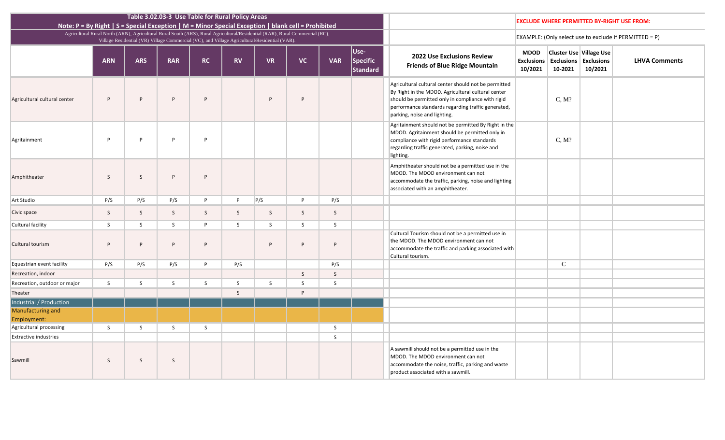| ons<br>21                | Use Village Use<br><b>Exclusions</b><br>10/2021 | <b>LHVA Comments</b> |
|--------------------------|-------------------------------------------------|----------------------|
| $\overline{\mathcal{C}}$ |                                                 |                      |
| $\overline{\mathcal{C}}$ |                                                 |                      |
|                          |                                                 |                      |
|                          |                                                 |                      |
|                          |                                                 |                      |
|                          |                                                 |                      |
|                          |                                                 |                      |
|                          |                                                 |                      |
|                          |                                                 |                      |
|                          |                                                 |                      |

| Note: $P = By Right   S = Special Exception   M = Minor Special Exception   blank cell = Probability$ |                                                                                                                              |                                                                                               | Table 3.02.03-3 Use Table for Rural Policy Areas |           |           |           |           |            |                              |                                                                                                                                                                                                                                                       |                                             | <b>EXCLUDE WHERE PERMI</b>                         |
|-------------------------------------------------------------------------------------------------------|------------------------------------------------------------------------------------------------------------------------------|-----------------------------------------------------------------------------------------------|--------------------------------------------------|-----------|-----------|-----------|-----------|------------|------------------------------|-------------------------------------------------------------------------------------------------------------------------------------------------------------------------------------------------------------------------------------------------------|---------------------------------------------|----------------------------------------------------|
|                                                                                                       | Agricultural Rural North (ARN), Agricultural Rural South (ARS), Rural Agricultural/Residential (RAR), Rural Commercial (RC), | Village Residential (VR) Village Commercial (VC), and Village Agricultural/Residential (VAR). |                                                  |           |           |           |           |            |                              |                                                                                                                                                                                                                                                       |                                             | <b>EXAMPLE:</b> (Only select us                    |
|                                                                                                       | <b>ARN</b>                                                                                                                   | <b>ARS</b>                                                                                    | <b>RAR</b>                                       | <b>RC</b> | <b>RV</b> | <b>VR</b> | <b>VC</b> | <b>VAR</b> | Use-<br>Specific<br>Standard | <b>2022 Use Exclusions Review</b><br><b>Friends of Blue Ridge Mountain</b>                                                                                                                                                                            | <b>MDOD</b><br><b>Exclusions</b><br>10/2021 | <b>Cluster Use</b><br><b>Exclusions</b><br>10-2021 |
| Agricultural cultural center                                                                          | P                                                                                                                            | P                                                                                             | P                                                | P         |           | P         | P         |            |                              | Agricultural cultural center should not be permitted<br>By Right in the MDOD. Agricultural cultural center<br>should be permitted only in compliance with rigid<br>performance standards regarding traffic generated,<br>parking, noise and lighting. |                                             | C, M?                                              |
| Agritainment                                                                                          | P                                                                                                                            | P                                                                                             | P                                                | P         |           |           |           |            |                              | Agritainment should not be permitted By Right in the<br>MDOD. Agritainment should be permitted only in<br>compliance with rigid performance standards<br>regarding traffic generated, parking, noise and<br>lighting.                                 |                                             | C, M?                                              |
| Amphitheater                                                                                          | S                                                                                                                            | S                                                                                             | P                                                | P         |           |           |           |            |                              | Amphitheater should not be a permitted use in the<br>MDOD. The MDOD environment can not<br>accommodate the traffic, parking, noise and lighting<br>associated with an amphitheater.                                                                   |                                             |                                                    |
| Art Studio                                                                                            | P/S                                                                                                                          | P/S                                                                                           | P/S                                              | P         | P         | P/S       | P         | P/S        |                              |                                                                                                                                                                                                                                                       |                                             |                                                    |
| Civic space                                                                                           | S                                                                                                                            | S                                                                                             | S                                                | S         | S         | S         | S         | S          |                              |                                                                                                                                                                                                                                                       |                                             |                                                    |
| Cultural facility                                                                                     | S                                                                                                                            | S                                                                                             | S                                                | P         | S         | S         | S         | S          |                              |                                                                                                                                                                                                                                                       |                                             |                                                    |
| Cultural tourism                                                                                      | P                                                                                                                            | P                                                                                             | P                                                | P         |           | P         | P         | P          |                              | Cultural Tourism should not be a permitted use in<br>the MDOD. The MDOD environment can not<br>accommodate the traffic and parking associated with<br>Cultural tourism.                                                                               |                                             |                                                    |
| Equestrian event facility                                                                             | P/S                                                                                                                          | P/S                                                                                           | P/S                                              | P         | P/S       |           |           | P/S        |                              |                                                                                                                                                                                                                                                       |                                             | $\mathcal{C}$                                      |
| Recreation, indoor                                                                                    |                                                                                                                              |                                                                                               |                                                  |           |           |           | S         | S          |                              |                                                                                                                                                                                                                                                       |                                             |                                                    |
| Recreation, outdoor or major                                                                          | S                                                                                                                            | S                                                                                             | S                                                | S         | S         | S         | S         | S          |                              |                                                                                                                                                                                                                                                       |                                             |                                                    |
| Theater                                                                                               |                                                                                                                              |                                                                                               |                                                  |           | S         |           | P         |            |                              |                                                                                                                                                                                                                                                       |                                             |                                                    |
| Industrial / Production                                                                               |                                                                                                                              |                                                                                               |                                                  |           |           |           |           |            |                              |                                                                                                                                                                                                                                                       |                                             |                                                    |
| <b>Manufacturing and</b>                                                                              |                                                                                                                              |                                                                                               |                                                  |           |           |           |           |            |                              |                                                                                                                                                                                                                                                       |                                             |                                                    |
| Employment:                                                                                           |                                                                                                                              |                                                                                               |                                                  |           |           |           |           |            |                              |                                                                                                                                                                                                                                                       |                                             |                                                    |
| Agricultural processing                                                                               | S                                                                                                                            | S                                                                                             | S                                                | S         |           |           |           | S          |                              |                                                                                                                                                                                                                                                       |                                             |                                                    |
| <b>Extractive industries</b>                                                                          |                                                                                                                              |                                                                                               |                                                  |           |           |           |           | S          |                              |                                                                                                                                                                                                                                                       |                                             |                                                    |
| Sawmill                                                                                               | S.                                                                                                                           | S                                                                                             | S                                                |           |           |           |           |            |                              | A sawmill should not be a permitted use in the<br>MDOD. The MDOD environment can not<br>accommodate the noise, traffic, parking and waste<br>product associated with a sawmill.                                                                       |                                             |                                                    |

# **ERMITTED BY-RIGHT USE FROM:**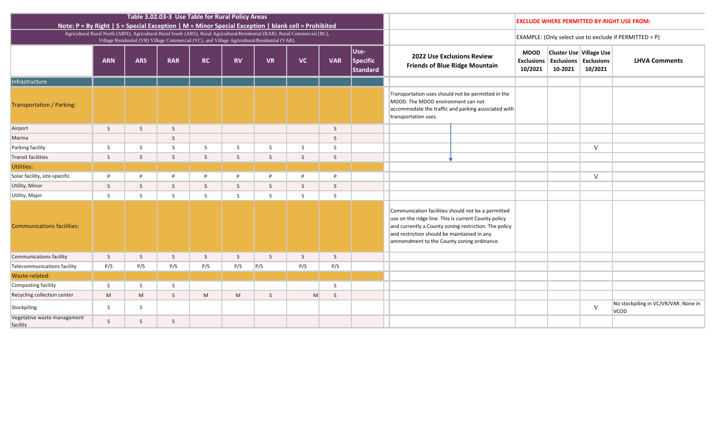| ons<br>21 | Use Village Use<br><b>Exclusions</b><br>10/2021 | <b>LHVA Comments</b>                 |
|-----------|-------------------------------------------------|--------------------------------------|
|           |                                                 |                                      |
|           |                                                 |                                      |
|           |                                                 |                                      |
|           |                                                 |                                      |
|           |                                                 |                                      |
|           | $\overline{\mathsf{V}}$                         |                                      |
|           |                                                 |                                      |
|           |                                                 |                                      |
|           | V                                               |                                      |
|           |                                                 |                                      |
|           |                                                 |                                      |
|           |                                                 |                                      |
|           |                                                 |                                      |
|           |                                                 |                                      |
|           |                                                 |                                      |
|           |                                                 |                                      |
|           |                                                 |                                      |
|           |                                                 |                                      |
|           |                                                 |                                      |
|           |                                                 |                                      |
|           |                                                 | No stockpiling in VC/VR/VAR. None in |
|           | $\mathbf V$                                     | <b>VCOD</b>                          |
|           |                                                 |                                      |

|                                                                                                    |              |            | Table 3.02.03-3 Use Table for Rural Policy Areas |           |              |                                                                                                                                                                                                                               |              |              |                              |                                                                                                                                                   |                                                                                                             |                                             |                                                                   |        |
|----------------------------------------------------------------------------------------------------|--------------|------------|--------------------------------------------------|-----------|--------------|-------------------------------------------------------------------------------------------------------------------------------------------------------------------------------------------------------------------------------|--------------|--------------|------------------------------|---------------------------------------------------------------------------------------------------------------------------------------------------|-------------------------------------------------------------------------------------------------------------|---------------------------------------------|-------------------------------------------------------------------|--------|
| Note: P = By Right   S = Special Exception   M = Minor Special Exception   blank cell = Prohibited |              |            |                                                  |           |              |                                                                                                                                                                                                                               |              |              |                              |                                                                                                                                                   |                                                                                                             | <b>EXCLUDE WHERE PERMITTED B</b>            |                                                                   |        |
|                                                                                                    |              |            |                                                  |           |              | Agricultural Rural North (ARN), Agricultural Rural South (ARS), Rural Agricultural/Residential (RAR), Rural Commercial (RC),<br>Village Residential (VR) Village Commercial (VC), and Village Agricultural/Residential (VAR). |              |              |                              |                                                                                                                                                   |                                                                                                             | EXAMPLE: (Only select use to ex             |                                                                   |        |
|                                                                                                    | <b>ARN</b>   | <b>ARS</b> | <b>RAR</b>                                       | <b>RC</b> | <b>RV</b>    | <b>VR</b>                                                                                                                                                                                                                     | <b>VC</b>    | <b>VAR</b>   | Use-<br>Specific<br>Standard |                                                                                                                                                   | <b>2022 Use Exclusions Review</b><br><b>Friends of Blue Ridge Mountain</b>                                  | <b>MDOD</b><br><b>Exclusions</b><br>10/2021 | <b>Cluster Use Village</b><br><b>Exclusions Exclus</b><br>10-2021 | 10/2   |
| Infrastructure                                                                                     |              |            |                                                  |           |              |                                                                                                                                                                                                                               |              |              |                              |                                                                                                                                                   |                                                                                                             |                                             |                                                                   |        |
| Transportation / Parking:                                                                          |              |            |                                                  |           |              |                                                                                                                                                                                                                               |              |              |                              | MDOD. The MDOD environment can not<br>transportation uses.                                                                                        | Transportation uses should not be permitted in the<br>accommodate the traffic and parking associated with   |                                             |                                                                   |        |
| Airport                                                                                            | S            | S          | $\mathsf{S}$                                     |           |              |                                                                                                                                                                                                                               |              | S            |                              |                                                                                                                                                   |                                                                                                             |                                             |                                                                   |        |
| Marina                                                                                             |              |            | S                                                |           |              |                                                                                                                                                                                                                               |              | S            |                              |                                                                                                                                                   |                                                                                                             |                                             |                                                                   |        |
| Parking facility                                                                                   | S            | S          | S                                                | S         | S            | S                                                                                                                                                                                                                             | S            | S            |                              |                                                                                                                                                   |                                                                                                             |                                             |                                                                   | V      |
| <b>Transit facilities</b>                                                                          | S            | S          | S                                                | S.        | $\mathsf{S}$ | <sub>S</sub>                                                                                                                                                                                                                  | <sub>S</sub> | <sub>S</sub> |                              |                                                                                                                                                   |                                                                                                             |                                             |                                                                   |        |
| Utilities:                                                                                         |              |            |                                                  |           |              |                                                                                                                                                                                                                               |              |              |                              |                                                                                                                                                   |                                                                                                             |                                             |                                                                   |        |
| Solar facility, site-specific                                                                      | P            | P          | P                                                | P         | P            | P                                                                                                                                                                                                                             | P            | P            |                              |                                                                                                                                                   |                                                                                                             |                                             |                                                                   | $\vee$ |
| Utility, Minor                                                                                     | S            | S          | S                                                | S         | S            | S                                                                                                                                                                                                                             | $\mathsf{S}$ | S            |                              |                                                                                                                                                   |                                                                                                             |                                             |                                                                   |        |
| Utility, Major                                                                                     | S            | S          | S                                                | S.        | S.           | S.                                                                                                                                                                                                                            | <sub>S</sub> | S            |                              |                                                                                                                                                   |                                                                                                             |                                             |                                                                   |        |
| <b>Communications facilities:</b>                                                                  |              |            |                                                  |           |              |                                                                                                                                                                                                                               |              |              |                              | use on the ridge line. This is current County policy<br>and restriction should be maintained in any<br>ammendment to the County zoning ordinance. | Communication facilities should not be a permitted<br>and currently a County zoning restriction. The policy |                                             |                                                                   |        |
| <b>Communications facility</b>                                                                     | S.           | S          | S                                                | S.        | S            | $\mathsf{S}$                                                                                                                                                                                                                  | $\mathsf{S}$ | $\mathsf{S}$ |                              |                                                                                                                                                   |                                                                                                             |                                             |                                                                   |        |
| Telecommunications facility                                                                        | P/S          | P/S        | P/S                                              | P/S       | P/S          | P/S                                                                                                                                                                                                                           | P/S          | P/S          |                              |                                                                                                                                                   |                                                                                                             |                                             |                                                                   |        |
| Waste-related:                                                                                     |              |            |                                                  |           |              |                                                                                                                                                                                                                               |              |              |                              |                                                                                                                                                   |                                                                                                             |                                             |                                                                   |        |
| Composting facility                                                                                | S            | S          | S                                                |           |              |                                                                                                                                                                                                                               |              | S            |                              |                                                                                                                                                   |                                                                                                             |                                             |                                                                   |        |
| Recycling collection center                                                                        | M            | M          | S                                                | M         | M            | S                                                                                                                                                                                                                             | M            | S            |                              |                                                                                                                                                   |                                                                                                             |                                             |                                                                   |        |
| Stockpiling                                                                                        | S            | S          |                                                  |           |              |                                                                                                                                                                                                                               |              |              |                              |                                                                                                                                                   |                                                                                                             |                                             |                                                                   | V      |
| Vegetative waste management<br>facility                                                            | $\mathsf{S}$ | S          | S                                                |           |              |                                                                                                                                                                                                                               |              |              |                              |                                                                                                                                                   |                                                                                                             |                                             |                                                                   |        |

# **ERMITTED BY-RIGHT USE FROM:**